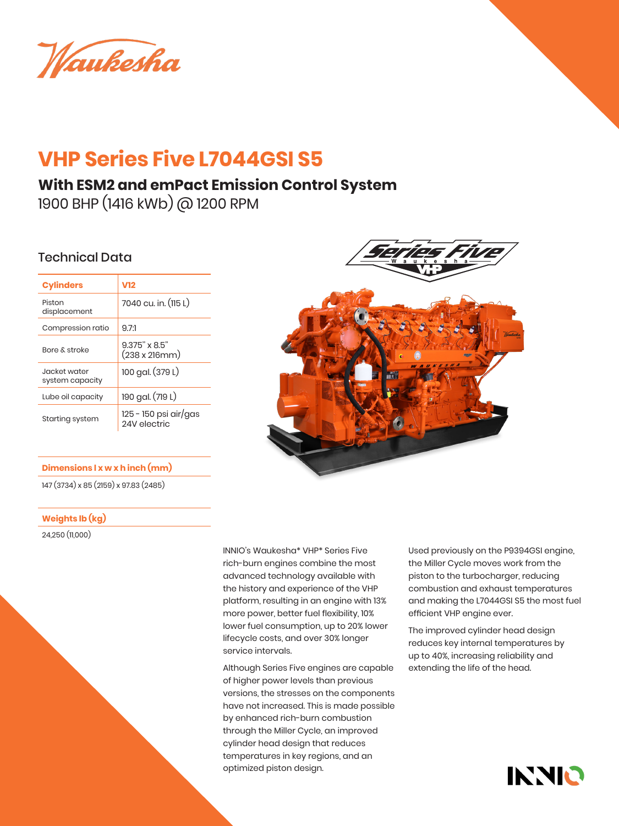Waukesha

# **VHP Series Five L7044GSI S5**

## **With ESM2 and emPact Emission Control System**

1900 BHP (1416 kWb) @ 1200 RPM

## Technical Data

| <b>Cylinders</b>                 | <b>V12</b>                            |  |
|----------------------------------|---------------------------------------|--|
| Piston<br>displacement           | 7040 cu. in. (115 L)                  |  |
| Compression ratio                | 9.71                                  |  |
| Bore & stroke                    | $9.375''$ x $8.5''$<br>(238 x 216mm)  |  |
| .lacket water<br>system capacity | 100 gal. (379 L)                      |  |
| Lube oil capacity                | 190 gal. (719 L)                      |  |
| Starting system                  | 125 - 150 psi air/gas<br>24V electric |  |

### **Dimensions l x w x h inch (mm)**

147 (3734) x 85 (2159) x 97.83 (2485)

### **Weights lb (kg)**

24,250 (11,000)



INNIO's Waukesha\* VHP\* Series Five rich-burn engines combine the most advanced technology available with the history and experience of the VHP platform, resulting in an engine with 13% more power, better fuel flexibility, 10% lower fuel consumption, up to 20% lower lifecycle costs, and over 30% longer service intervals.

Although Series Five engines are capable of higher power levels than previous versions, the stresses on the components have not increased. This is made possible by enhanced rich-burn combustion through the Miller Cycle, an improved cylinder head design that reduces temperatures in key regions, and an optimized piston design.

Used previously on the P9394GSI engine, the Miller Cycle moves work from the piston to the turbocharger, reducing combustion and exhaust temperatures and making the L7044GSI S5 the most fuel efficient VHP engine ever.

The improved cylinder head design reduces key internal temperatures by up to 40%, increasing reliability and extending the life of the head.